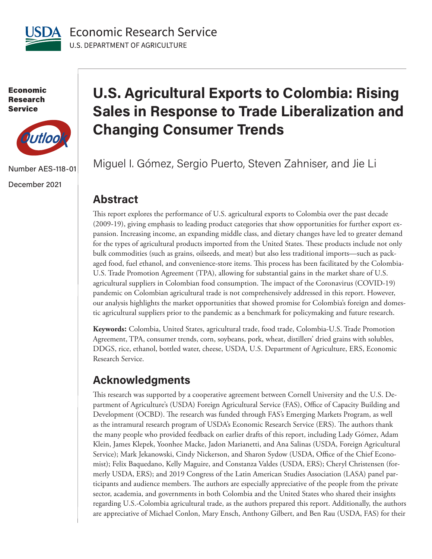

Economic Research Service



Number AES-118-01

December 2021

## **U.S. Agricultural Exports to Colombia: Rising Sales in Response to Trade Liberalization and Changing Consumer Trends**

Miguel I. Gómez, Sergio Puerto, Steven Zahniser, and Jie Li

## **Abstract**

This report explores the performance of U.S. agricultural exports to Colombia over the past decade (2009-19), giving emphasis to leading product categories that show opportunities for further export expansion. Increasing income, an expanding middle class, and dietary changes have led to greater demand for the types of agricultural products imported from the United States. These products include not only bulk commodities (such as grains, oilseeds, and meat) but also less traditional imports—such as packaged food, fuel ethanol, and convenience-store items. This process has been facilitated by the Colombia-U.S. Trade Promotion Agreement (TPA), allowing for substantial gains in the market share of U.S. agricultural suppliers in Colombian food consumption. The impact of the Coronavirus (COVID-19) pandemic on Colombian agricultural trade is not comprehensively addressed in this report. However, our analysis highlights the market opportunities that showed promise for Colombia's foreign and domestic agricultural suppliers prior to the pandemic as a benchmark for policymaking and future research.

**Keywords:** Colombia, United States, agricultural trade, food trade, Colombia-U.S. Trade Promotion Agreement, TPA, consumer trends, corn, soybeans, pork, wheat, distillers' dried grains with solubles, DDGS, rice, ethanol, bottled water, cheese, USDA, U.S. Department of Agriculture, ERS, Economic Research Service.

## **Acknowledgments**

This research was supported by a cooperative agreement between Cornell University and the U.S. Department of Agriculture's (USDA) Foreign Agricultural Service (FAS), Office of Capacity Building and Development (OCBD). The research was funded through FAS's Emerging Markets Program, as well as the intramural research program of USDA's Economic Research Service (ERS). The authors thank the many people who provided feedback on earlier drafts of this report, including Lady Gómez, Adam Klein, James Klepek, Yoonhee Macke, Jadon Marianetti, and Ana Salinas (USDA, Foreign Agricultural Service); Mark Jekanowski, Cindy Nickerson, and Sharon Sydow (USDA, Office of the Chief Economist); Felix Baquedano, Kelly Maguire, and Constanza Valdes (USDA, ERS); Cheryl Christensen (formerly USDA, ERS); and 2019 Congress of the Latin American Studies Association (LASA) panel participants and audience members. The authors are especially appreciative of the people from the private sector, academia, and governments in both Colombia and the United States who shared their insights regarding U.S.-Colombia agricultural trade, as the authors prepared this report. Additionally, the authors are appreciative of Michael Conlon, Mary Ensch, Anthony Gilbert, and Ben Rau (USDA, FAS) for their